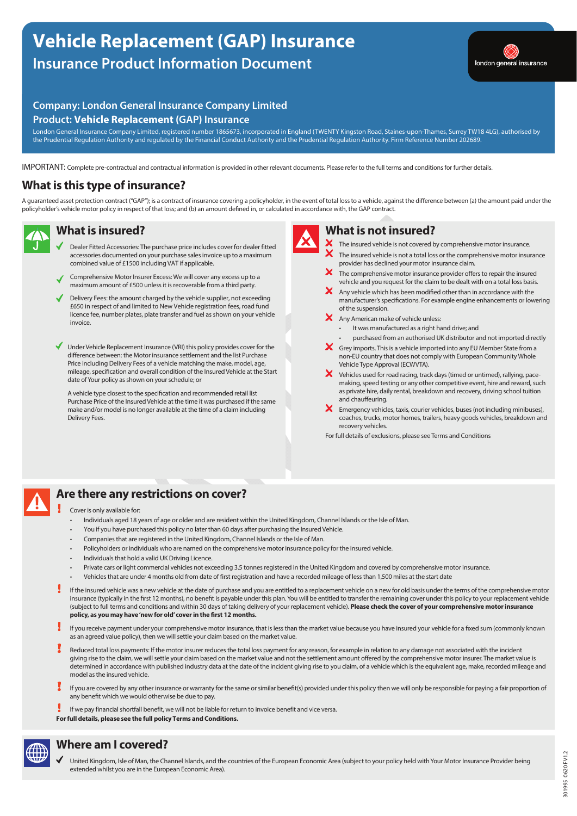# **Vehicle Replacement (GAP) Insurance Insurance Product Information Document**



## **Company: London General Insurance Company Limited Product: Vehicle Replacement (GAP) Insurance**

London General Insurance Company Limited, registered number 1865673, incorporated in England (TWENTY Kingston Road, Staines-upon-Thames, Surrey TW18 4LG), authorised by the Prudential Regulation Authority and regulated by the Financial Conduct Authority and the Prudential Regulation Authority. Firm Reference Number 202689.

IMPORTANT: Complete pre-contractual and contractual information is provided in other relevant documents. Please refer to the full terms and conditions for further details.

## **What is this type of insurance?**

A guaranteed asset protection contract ("GAP"); is a contract of insurance covering a policyholder, in the event of total loss to a vehicle, against the difference between (a) the amount paid under the policyholder's vehicle motor policy in respect of that loss; and (b) an amount defined in, or calculated in accordance with, the GAP contract.



#### **What is insured?**

- Dealer Fitted Accessories: The purchase price includes cover for dealer fitted accessories documented on your purchase sales invoice up to a maximum combined value of £1500 including VAT if applicable.
- Comprehensive Motor Insurer Excess: We will cover any excess up to a maximum amount of £500 unless it is recoverable from a third party.
- Delivery Fees: the amount charged by the vehicle supplier, not exceeding £650 in respect of and limited to New Vehicle registration fees, road fund licence fee, number plates, plate transfer and fuel as shown on your vehicle  $inv<sub>0</sub>$

Under Vehicle Replacement Insurance (VRI) this policy provides cover for the difference between: the Motor insurance settlement and the list Purchase Price including Delivery Fees of a vehicle matching the make, model, age, mileage, specification and overall condition of the Insured Vehicle at the Start date of Your policy as shown on your schedule; or

A vehicle type closest to the specification and recommended retail list Purchase Price of the Insured Vehicle at the time it was purchased if the same make and/or model is no longer available at the time of a claim including Delivery Fees.



#### **What is not insured?**

- X The insured vehicle is not covered by comprehensive motor insurance.
- The insured vehicle is not a total loss or the comprehensive motor insurance provider has declined your motor insurance claim.
- x The comprehensive motor insurance provider offers to repair the insured vehicle and you request for the claim to be dealt with on a total loss basis.
- $\mathsf{\times}$  Any vehicle which has been modified other than in accordance with the manufacturer's specifications. For example engine enhancements or lowering of the suspension.
- X Any American make of vehicle unless:
	- It was manufactured as a right hand drive; and
- purchased from an authorised UK distributor and not imported directly
- **X** Grey imports. This is a vehicle imported into any EU Member State from a non-EU country that does not comply with European Community Whole Vehicle Type Approval (ECWVTA).
- Vehicles used for road racing, track days (timed or untimed), rallying, pacemaking, speed testing or any other competitive event, hire and reward, such as private hire, daily rental, breakdown and recovery, driving school tuition and chauffeuring.
- $\mathsf{\times}\hspace{1pt}$  Emergency vehicles, taxis, courier vehicles, buses (not including minibuses), coaches, trucks, motor homes, trailers, heavy goods vehicles, breakdown and recovery vehicles.
- For full details of exclusions, please see Terms and Conditions



# **Are there any restrictions on cover?**

#### Cover is only available for:

- Individuals aged 18 years of age or older and are resident within the United Kingdom, Channel Islands or the Isle of Man.
- You if you have purchased this policy no later than 60 days after purchasing the Insured Vehicle.
- Companies that are registered in the United Kingdom, Channel Islands or the Isle of Man.
- Policyholders or individuals who are named on the comprehensive motor insurance policy for the insured vehicle.
- Individuals that hold a valid UK Driving Licence.
- Private cars or light commercial vehicles not exceeding 3.5 tonnes registered in the United Kingdom and covered by comprehensive motor insurance.
- Vehicles that are under 4 months old from date of first registration and have a recorded mileage of less than 1,500 miles at the start date
- If the insured vehicle was a new vehicle at the date of purchase and you are entitled to a replacement vehicle on a new for old basis under the terms of the comprehensive motor insurance (typically in the first 12 months), no benefit is payable under this plan. You will be entitled to transfer the remaining cover under this policy to your replacement vehicle (subject to full terms and conditions and within 30 days of taking delivery of your replacement vehicle). **Please check the cover of your comprehensive motor insurance policy, as you may have 'new for old' cover in the first 12 months.**
- If you receive payment under your comprehensive motor insurance, that is less than the market value because you have insured your vehicle for a fixed sum (commonly known as an agreed value policy), then we will settle your claim based on the market value.
- Reduced total loss payments: If the motor insurer reduces the total loss payment for any reason, for example in relation to any damage not associated with the incident giving rise to the claim, we will settle your claim based on the market value and not the settlement amount offered by the comprehensive motor insurer. The market value is determined in accordance with published industry data at the date of the incident giving rise to you claim, of a vehicle which is the equivalent age, make, recorded mileage and model as the insured vehicle.
- If you are covered by any other insurance or warranty for the same or similar benefit(s) provided under this policy then we will only be responsible for paying a fair proportion of any benefit which we would otherwise be due to pay.
- If we pay financial shortfall benefit, we will not be liable for return to invoice benefit and vice versa. For full details, please see the full policy Terms and Conditions.



### **Where am I covered?**

United Kingdom, Isle of Man, the Channel Islands, and the countries of the European Economic Area (subject to your policy held with Your Motor Insurance Provider being extended whilst you are in the European Economic Area).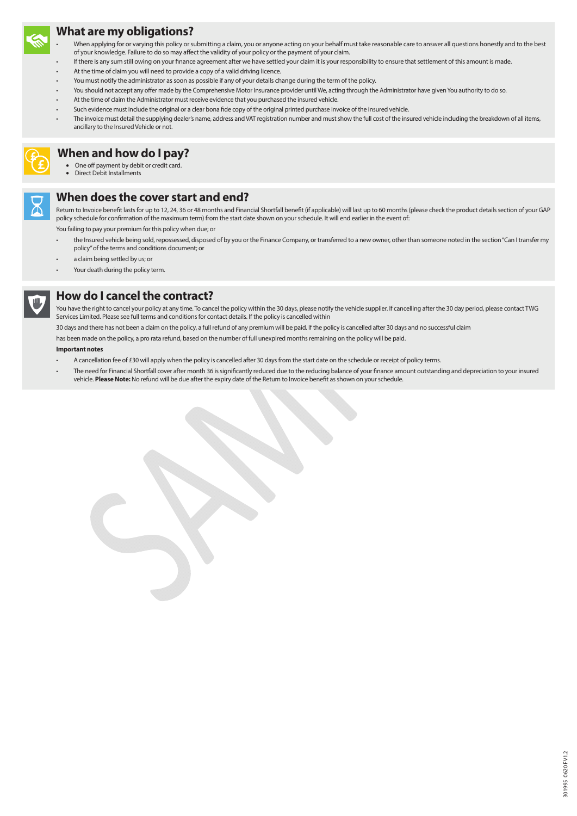

**£**

#### **What are my obligations?**

- When applying for or varying this policy or submitting a claim, you or anyone acting on your behalf must take reasonable care to answer all questions honestly and to the best of your knowledge. Failure to do so may affect the validity of your policy or the payment of your claim.
- If there is any sum still owing on your finance agreement after we have settled your claim it is your responsibility to ensure that settlement of this amount is made.
- At the time of claim you will need to provide a copy of a valid driving licence.
- You must notify the administrator as soon as possible if any of your details change during the term of the policy.
- You should not accept any offer made by the Comprehensive Motor Insurance provider until We, acting through the Administrator have given You authority to do so.
- At the time of claim the Administrator must receive evidence that you purchased the insured vehicle.
- Such evidence must include the original or a clear bona fide copy of the original printed purchase invoice of the insured vehicle.
- The invoice must detail the supplying dealer's name, address and VAT registration number and must show the full cost of the insured vehicle including the breakdown of all items, ancillary to the Insured Vehicle or not.

### **£ When and how do I pay?**

- One off payment by debit or credit card.
- Direct Debit Installments

### **When does the cover start and end?**

Return to Invoice benefit lasts for up to 12, 24, 36 or 48 months and Financial Shortfall benefit (if applicable) will last up to 60 months (please check the product details section of your GAP policy schedule for confirmation of the maximum term) from the start date shown on your schedule. It will end earlier in the event of: You failing to pay your premium for this policy when due; or

- the Insured vehicle being sold, repossessed, disposed of by you or the Finance Company, or transferred to a new owner, other than someone noted in the section "Can I transfer my policy" of the terms and conditions document; or
- a claim being settled by us; or
- Your death during the policy term.



### **How do I cancel the contract?**

You have the right to cancel your policy at any time. To cancel the policy within the 30 days, please notify the vehicle supplier. If cancelling after the 30 day period, please contact TWG Services Limited. Please see full terms and conditions for contact details. If the policy is cancelled within

30 days and there has not been a claim on the policy, a full refund of any premium will be paid. If the policy is cancelled after 30 days and no successful claim

has been made on the policy, a pro rata refund, based on the number of full unexpired months remaining on the policy will be paid.

#### **Important notes**

- A cancellation fee of £30 will apply when the policy is cancelled after 30 days from the start date on the schedule or receipt of policy terms.
- The need for Financial Shortfall cover after month 36 is significantly reduced due to the reducing balance of your finance amount outstanding and depreciation to your insured vehicle. **Please Note:** No refund will be due after the expiry date of the Return to Invoice benefit as shown on your schedule.